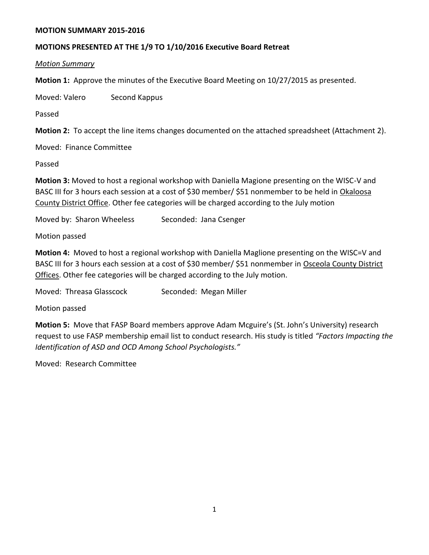#### **MOTION SUMMARY 2015-2016**

#### **MOTIONS PRESENTED AT THE 1/9 TO 1/10/2016 Executive Board Retreat**

*Motion Summary*

**Motion 1:** Approve the minutes of the Executive Board Meeting on 10/27/2015 as presented.

Moved: Valero Second Kappus

Passed

**Motion 2:** To accept the line items changes documented on the attached spreadsheet (Attachment 2).

Moved: Finance Committee

Passed

**Motion 3:** Moved to host a regional workshop with Daniella Magione presenting on the WISC-V and BASC III for 3 hours each session at a cost of \$30 member/ \$51 nonmember to be held in Okaloosa County District Office. Other fee categories will be charged according to the July motion

Moved by: Sharon Wheeless Seconded: Jana Csenger

Motion passed

**Motion 4:** Moved to host a regional workshop with Daniella Maglione presenting on the WISC=V and BASC III for 3 hours each session at a cost of \$30 member/ \$51 nonmember in Osceola County District Offices. Other fee categories will be charged according to the July motion.

Moved: Threasa Glasscock Seconded: Megan Miller

Motion passed

**Motion 5:** Move that FASP Board members approve Adam Mcguire's (St. John's University) research request to use FASP membership email list to conduct research. His study is titled *"Factors Impacting the Identification of ASD and OCD Among School Psychologists."* 

Moved: Research Committee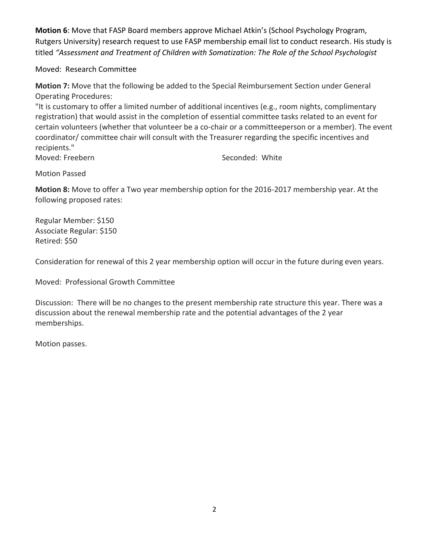**Motion 6**: Move that FASP Board members approve Michael Atkin's (School Psychology Program, Rutgers University) research request to use FASP membership email list to conduct research. His study is titled *"Assessment and Treatment of Children with Somatization: The Role of the School Psychologist*

Moved: Research Committee

**Motion 7:** Move that the following be added to the Special Reimbursement Section under General Operating Procedures:

"It is customary to offer a limited number of additional incentives (e.g., room nights, complimentary registration) that would assist in the completion of essential committee tasks related to an event for certain volunteers (whether that volunteer be a co-chair or a committeeperson or a member). The event coordinator/ committee chair will consult with the Treasurer regarding the specific incentives and recipients."

Moved: Freebern Seconded: White

Motion Passed

**Motion 8:** Move to offer a Two year membership option for the 2016-2017 membership year. At the following proposed rates:

Regular Member: \$150 Associate Regular: \$150 Retired: \$50

Consideration for renewal of this 2 year membership option will occur in the future during even years.

Moved: Professional Growth Committee

Discussion: There will be no changes to the present membership rate structure this year. There was a discussion about the renewal membership rate and the potential advantages of the 2 year memberships.

Motion passes.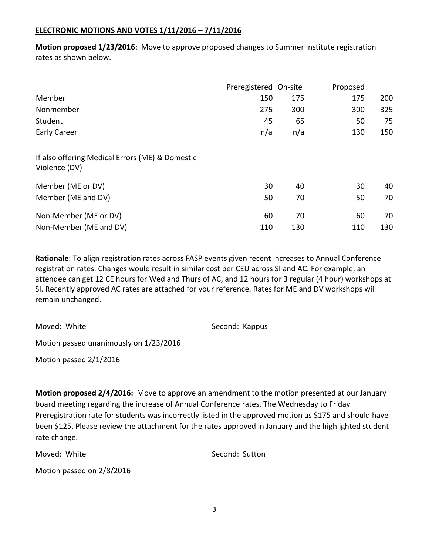# **ELECTRONIC MOTIONS AND VOTES 1/11/2016 – 7/11/2016**

**Motion proposed 1/23/2016**: Move to approve proposed changes to Summer Institute registration rates as shown below.

|                                                                  | Preregistered On-site |     | Proposed |     |
|------------------------------------------------------------------|-----------------------|-----|----------|-----|
| Member                                                           | 150                   | 175 | 175      | 200 |
| Nonmember                                                        | 275                   | 300 | 300      | 325 |
| Student                                                          | 45                    | 65  | 50       | 75  |
| <b>Early Career</b>                                              | n/a                   | n/a | 130      | 150 |
| If also offering Medical Errors (ME) & Domestic<br>Violence (DV) |                       |     |          |     |
| Member (ME or DV)                                                | 30                    | 40  | 30       | 40  |
| Member (ME and DV)                                               | 50                    | 70  | 50       | 70  |
| Non-Member (ME or DV)                                            | 60                    | 70  | 60       | 70  |
| Non-Member (ME and DV)                                           | 110                   | 130 | 110      | 130 |

**Rationale**: To align registration rates across FASP events given recent increases to Annual Conference registration rates. Changes would result in similar cost per CEU across SI and AC. For example, an attendee can get 12 CE hours for Wed and Thurs of AC, and 12 hours for 3 regular (4 hour) workshops at SI. Recently approved AC rates are attached for your reference. Rates for ME and DV workshops will remain unchanged.

Moved: White Second: Kappus

Motion passed unanimously on 1/23/2016

Motion passed 2/1/2016

**Motion proposed 2/4/2016:** Move to approve an amendment to the motion presented at our January board meeting regarding the increase of Annual Conference rates. The Wednesday to Friday Preregistration rate for students was incorrectly listed in the approved motion as \$175 and should have been \$125. Please review the attachment for the rates approved in January and the highlighted student rate change.

Moved: White Second: Sutton

Motion passed on 2/8/2016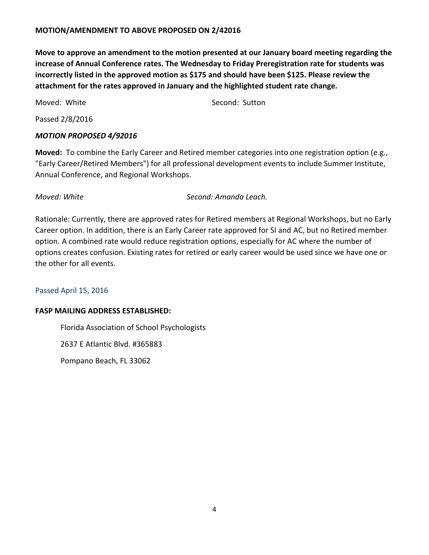#### **MOTION/AMENDMENT TO ABOVE PROPOSED ON 2/42016**

**Move to approve an amendment to the motion presented at our January board meeting regarding the increase of Annual Conference rates. The Wednesday to Friday Preregistration rate for students was incorrectly listed in the approved motion as \$175 and should have been \$125. Please review the attachment for the rates approved in January and the highlighted student rate change.**

Moved: White Move Music Second: Sutton

Passed 2/8/2016

#### *MOTION PROPOSED 4/92016*

**Moved:** To combine the Early Career and Retired member categories into one registration option (e.g., "Early Career/Retired Members") for all professional development events to include Summer Institute, Annual Conference, and Regional Workshops.

*Moved: White Second: Amanda Leach.*

Rationale: Currently, there are approved rates for Retired members at Regional Workshops, but no Early Career option. In addition, there is an Early Career rate approved for SI and AC, but no Retired member option. A combined rate would reduce registration options, especially for AC where the number of options creates confusion. Existing rates for retired or early career would be used since we have one or the other for all events.

#### Passed April 15, 2016

#### **FASP MAILING ADDRESS ESTABLISHED:**

Florida Association of School Psychologists

2637 E Atlantic Blvd. #365883

Pompano Beach, FL 33062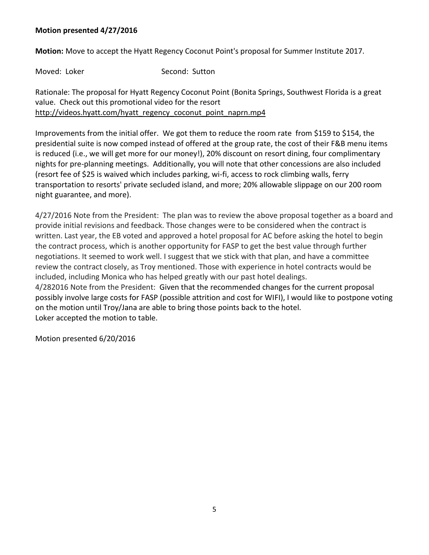## **Motion presented 4/27/2016**

**Motion:** Move to accept the Hyatt Regency Coconut Point's proposal for Summer Institute 2017.

Moved: Loker Second: Sutton

Rationale: The proposal for Hyatt Regency Coconut Point (Bonita Springs, Southwest Florida is a great value. Check out this promotional video for the resort [http://videos.hyatt.com/hyatt\\_regency\\_coconut\\_point\\_naprn.mp4](http://videos.hyatt.com/hyatt_regency_coconut_point_naprn.mp4)

Improvements from the initial offer. We got them to reduce the room rate from \$159 to \$154, the presidential suite is now comped instead of offered at the group rate, the cost of their F&B menu items is reduced (i.e., we will get more for our money!), 20% discount on resort dining, four complimentary nights for pre-planning meetings. Additionally, you will note that other concessions are also included (resort fee of \$25 is waived which includes parking, wi-fi, access to rock climbing walls, ferry transportation to resorts' private secluded island, and more; 20% allowable slippage on our 200 room night guarantee, and more).

4/27/2016 Note from the President: The plan was to review the above proposal together as a board and provide initial revisions and feedback. Those changes were to be considered when the contract is written. Last year, the EB voted and approved a hotel proposal for AC before asking the hotel to begin the contract process, which is another opportunity for FASP to get the best value through further negotiations. It seemed to work well. I suggest that we stick with that plan, and have a committee review the contract closely, as Troy mentioned. Those with experience in hotel contracts would be included, including Monica who has helped greatly with our past hotel dealings. 4/282016 Note from the President: Given that the recommended changes for the current proposal

possibly involve large costs for FASP (possible attrition and cost for WIFI), I would like to postpone voting on the motion until Troy/Jana are able to bring those points back to the hotel. Loker accepted the motion to table.

Motion presented 6/20/2016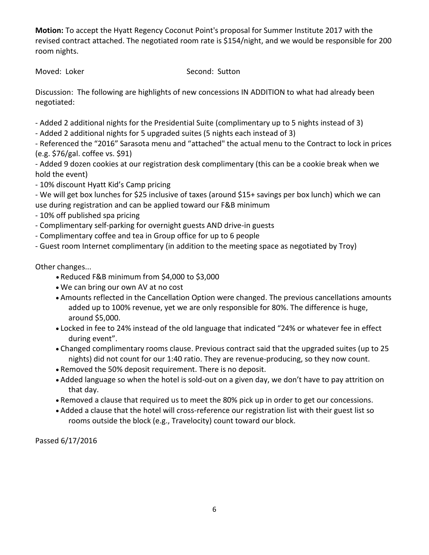**Motion:** To accept the Hyatt Regency Coconut Point's proposal for Summer Institute 2017 with the revised contract attached. The negotiated room rate is \$154/night, and we would be responsible for 200 room nights.

Moved: Loker Second: Sutton

Discussion: The following are highlights of new concessions IN ADDITION to what had already been negotiated:

- Added 2 additional nights for the Presidential Suite (complimentary up to 5 nights instead of 3)

- Added 2 additional nights for 5 upgraded suites (5 nights each instead of 3)

- Referenced the "2016" Sarasota menu and "attached" the actual menu to the Contract to lock in prices (e.g. \$76/gal. coffee vs. \$91)

- Added 9 dozen cookies at our registration desk complimentary (this can be a cookie break when we hold the event)

- 10% discount Hyatt Kid's Camp pricing

- We will get box lunches for \$25 inclusive of taxes (around \$15+ savings per box lunch) which we can use during registration and can be applied toward our F&B minimum

- 10% off published spa pricing

- Complimentary self-parking for overnight guests AND drive-in guests
- Complimentary coffee and tea in Group office for up to 6 people

- Guest room Internet complimentary (in addition to the meeting space as negotiated by Troy)

Other changes...

- Reduced F&B minimum from \$4,000 to \$3,000
- We can bring our own AV at no cost
- Amounts reflected in the Cancellation Option were changed. The previous cancellations amounts added up to 100% revenue, yet we are only responsible for 80%. The difference is huge, around \$5,000.
- Locked in fee to 24% instead of the old language that indicated "24% or whatever fee in effect during event".
- Changed complimentary rooms clause. Previous contract said that the upgraded suites (up to 25 nights) did not count for our 1:40 ratio. They are revenue-producing, so they now count.
- Removed the 50% deposit requirement. There is no deposit.
- Added language so when the hotel is sold-out on a given day, we don't have to pay attrition on that day.
- Removed a clause that required us to meet the 80% pick up in order to get our concessions.
- Added a clause that the hotel will cross-reference our registration list with their guest list so rooms outside the block (e.g., Travelocity) count toward our block.

Passed 6/17/2016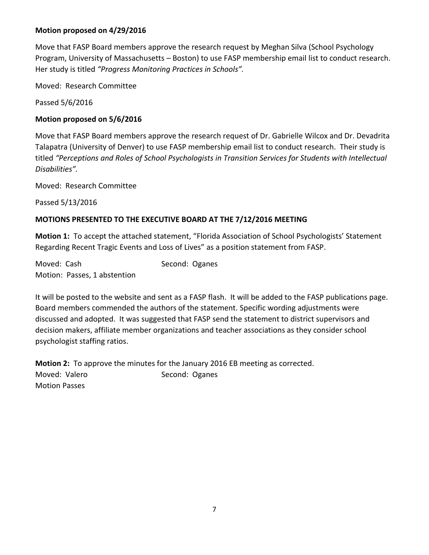# **Motion proposed on 4/29/2016**

Move that FASP Board members approve the research request by Meghan Silva (School Psychology Program, University of Massachusetts – Boston) to use FASP membership email list to conduct research. Her study is titled *"Progress Monitoring Practices in Schools".* 

Moved: Research Committee

Passed 5/6/2016

# **Motion proposed on 5/6/2016**

Move that FASP Board members approve the research request of Dr. Gabrielle Wilcox and Dr. Devadrita Talapatra (University of Denver) to use FASP membership email list to conduct research. Their study is titled *"Perceptions and Roles of School Psychologists in Transition Services for Students with Intellectual Disabilities".* 

Moved: Research Committee

Passed 5/13/2016

# **MOTIONS PRESENTED TO THE EXECUTIVE BOARD AT THE 7/12/2016 MEETING**

**Motion 1:** To accept the attached statement, "Florida Association of School Psychologists' Statement Regarding Recent Tragic Events and Loss of Lives" as a position statement from FASP.

Moved: Cash Second: Oganes Motion: Passes, 1 abstention

It will be posted to the website and sent as a FASP flash. It will be added to the FASP publications page. Board members commended the authors of the statement. Specific wording adjustments were discussed and adopted. It was suggested that FASP send the statement to district supervisors and decision makers, affiliate member organizations and teacher associations as they consider school psychologist staffing ratios.

**Motion 2:** To approve the minutes for the January 2016 EB meeting as corrected. Moved: Valero Second: Oganes Motion Passes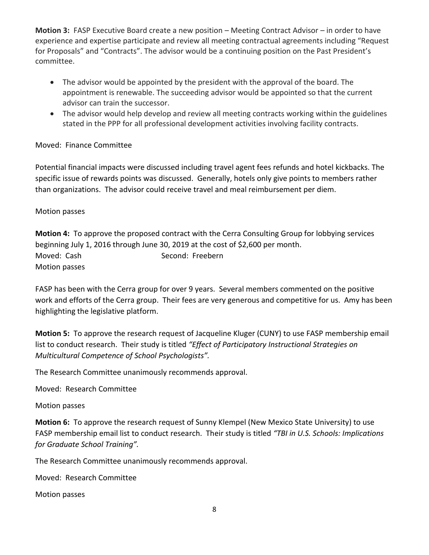**Motion 3:** FASP Executive Board create a new position – Meeting Contract Advisor – in order to have experience and expertise participate and review all meeting contractual agreements including "Request for Proposals" and "Contracts". The advisor would be a continuing position on the Past President's committee.

- The advisor would be appointed by the president with the approval of the board. The appointment is renewable. The succeeding advisor would be appointed so that the current advisor can train the successor.
- The advisor would help develop and review all meeting contracts working within the guidelines stated in the PPP for all professional development activities involving facility contracts.

# Moved: Finance Committee

Potential financial impacts were discussed including travel agent fees refunds and hotel kickbacks. The specific issue of rewards points was discussed. Generally, hotels only give points to members rather than organizations. The advisor could receive travel and meal reimbursement per diem.

# Motion passes

**Motion 4:** To approve the proposed contract with the Cerra Consulting Group for lobbying services beginning July 1, 2016 through June 30, 2019 at the cost of \$2,600 per month. Moved: Cash Second: Freebern Motion passes

FASP has been with the Cerra group for over 9 years. Several members commented on the positive work and efforts of the Cerra group. Their fees are very generous and competitive for us. Amy has been highlighting the legislative platform.

**Motion 5:** To approve the research request of Jacqueline Kluger (CUNY) to use FASP membership email list to conduct research. Their study is titled *"Effect of Participatory Instructional Strategies on Multicultural Competence of School Psychologists".* 

The Research Committee unanimously recommends approval.

Moved: Research Committee

#### Motion passes

**Motion 6:** To approve the research request of Sunny Klempel (New Mexico State University) to use FASP membership email list to conduct research. Their study is titled *"TBI in U.S. Schools: Implications for Graduate School Training".* 

The Research Committee unanimously recommends approval.

Moved: Research Committee

Motion passes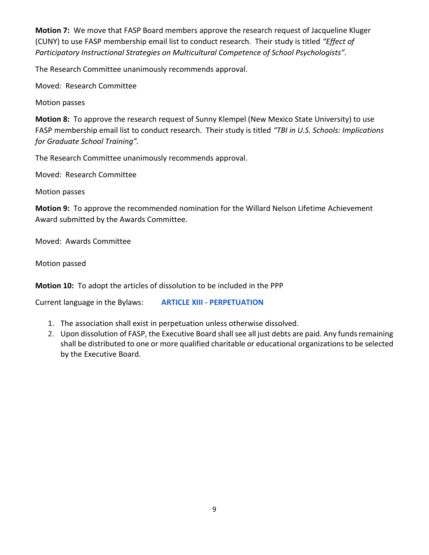**Motion 7:** We move that FASP Board members approve the research request of Jacqueline Kluger (CUNY) to use FASP membership email list to conduct research. Their study is titled *"Effect of Participatory Instructional Strategies on Multicultural Competence of School Psychologists".* 

The Research Committee unanimously recommends approval.

Moved: Research Committee

Motion passes

**Motion 8:** To approve the research request of Sunny Klempel (New Mexico State University) to use FASP membership email list to conduct research. Their study is titled *"TBI in U.S. Schools: Implications for Graduate School Training".* 

The Research Committee unanimously recommends approval.

Moved: Research Committee

Motion passes

**Motion 9:** To approve the recommended nomination for the Willard Nelson Lifetime Achievement Award submitted by the Awards Committee.

Moved: Awards Committee

Motion passed

**Motion 10:** To adopt the articles of dissolution to be included in the PPP

Current language in the Bylaws: **ARTICLE XIII - PERPETUATION**

- 1. The association shall exist in perpetuation unless otherwise dissolved.
- 2. Upon dissolution of FASP, the Executive Board shall see all just debts are paid. Any funds remaining shall be distributed to one or more qualified charitable or educational organizations to be selected by the Executive Board.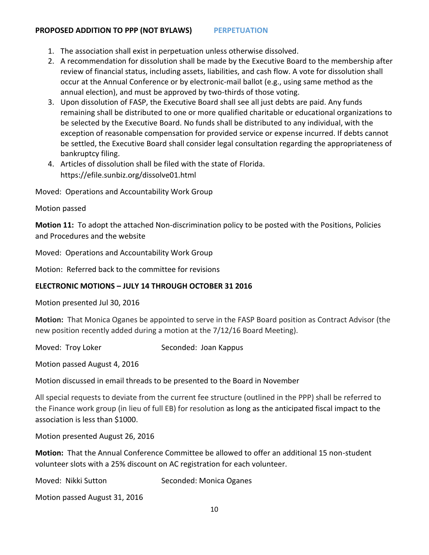#### **PROPOSED ADDITION TO PPP (NOT BYLAWS) PERPETUATION**

- 1. The association shall exist in perpetuation unless otherwise dissolved.
- 2. A recommendation for dissolution shall be made by the Executive Board to the membership after review of financial status, including assets, liabilities, and cash flow. A vote for dissolution shall occur at the Annual Conference or by electronic-mail ballot (e.g., using same method as the annual election), and must be approved by two-thirds of those voting.
- 3. Upon dissolution of FASP, the Executive Board shall see all just debts are paid. Any funds remaining shall be distributed to one or more qualified charitable or educational organizations to be selected by the Executive Board. No funds shall be distributed to any individual, with the exception of reasonable compensation for provided service or expense incurred. If debts cannot be settled, the Executive Board shall consider legal consultation regarding the appropriateness of bankruptcy filing.
- 4. Articles of dissolution shall be filed with the state of Florida. https://efile.sunbiz.org/dissolve01.html

Moved: Operations and Accountability Work Group

#### Motion passed

**Motion 11:** To adopt the attached Non-discrimination policy to be posted with the Positions, Policies and Procedures and the website

Moved: Operations and Accountability Work Group

Motion: Referred back to the committee for revisions

# **ELECTRONIC MOTIONS – JULY 14 THROUGH OCTOBER 31 2016**

Motion presented Jul 30, 2016

**Motion:** That Monica Oganes be appointed to serve in the FASP Board position as Contract Advisor (the new position recently added during a motion at the 7/12/16 Board Meeting).

Moved: Troy Loker Seconded: Joan Kappus

Motion passed August 4, 2016

Motion discussed in email threads to be presented to the Board in November

All special requests to deviate from the current fee structure (outlined in the PPP) shall be referred to the Finance work group (in lieu of full EB) for resolution as long as the anticipated fiscal impact to the association is less than \$1000.

Motion presented August 26, 2016

**Motion:** That the Annual Conference Committee be allowed to offer an additional 15 non-student volunteer slots with a 25% discount on AC registration for each volunteer.

Moved: Nikki Sutton Seconded: Monica Oganes

Motion passed August 31, 2016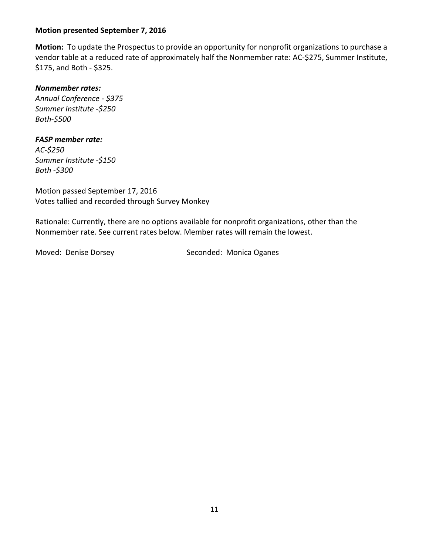#### **Motion presented September 7, 2016**

**Motion:** To update the Prospectus to provide an opportunity for nonprofit organizations to purchase a vendor table at a reduced rate of approximately half the Nonmember rate: AC-\$275, Summer Institute, \$175, and Both - \$325.

#### *Nonmember rates:*

*Annual Conference - \$375 Summer Institute -\$250 Both-\$500*

#### *FASP member rate:*

*AC-\$250 Summer Institute -\$150 Both -\$300*

Motion passed September 17, 2016 Votes tallied and recorded through Survey Monkey

Rationale: Currently, there are no options available for nonprofit organizations, other than the Nonmember rate. See current rates below. Member rates will remain the lowest.

Moved: Denise Dorsey Seconded: Monica Oganes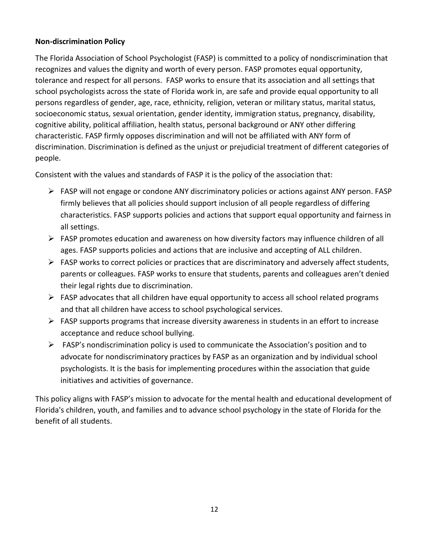## **Non-discrimination Policy**

The Florida Association of School Psychologist (FASP) is committed to a policy of nondiscrimination that recognizes and values the dignity and worth of every person. FASP promotes equal opportunity, tolerance and respect for all persons. FASP works to ensure that its association and all settings that school psychologists across the state of Florida work in, are safe and provide equal opportunity to all persons regardless of gender, age, race, ethnicity, religion, veteran or military status, marital status, socioeconomic status, sexual orientation, gender identity, immigration status, pregnancy, disability, cognitive ability, political affiliation, health status, personal background or ANY other differing characteristic. FASP firmly opposes discrimination and will not be affiliated with ANY form of discrimination. Discrimination is defined as the unjust or prejudicial treatment of different categories of people.

Consistent with the values and standards of FASP it is the policy of the association that:

- $\triangleright$  FASP will not engage or condone ANY discriminatory policies or actions against ANY person. FASP firmly believes that all policies should support inclusion of all people regardless of differing characteristics. FASP supports policies and actions that support equal opportunity and fairness in all settings.
- $\triangleright$  FASP promotes education and awareness on how diversity factors may influence children of all ages. FASP supports policies and actions that are inclusive and accepting of ALL children.
- $\triangleright$  FASP works to correct policies or practices that are discriminatory and adversely affect students, parents or colleagues. FASP works to ensure that students, parents and colleagues aren't denied their legal rights due to discrimination.
- FASP advocates that all children have equal opportunity to access all school related programs and that all children have access to school psychological services.
- $\triangleright$  FASP supports programs that increase diversity awareness in students in an effort to increase acceptance and reduce school bullying.
- $\triangleright$  FASP's nondiscrimination policy is used to communicate the Association's position and to advocate for nondiscriminatory practices by FASP as an organization and by individual school psychologists. It is the basis for implementing procedures within the association that guide initiatives and activities of governance.

This policy aligns with FASP's mission to advocate for the mental health and educational development of Florida's children, youth, and families and to advance school psychology in the state of Florida for the benefit of all students.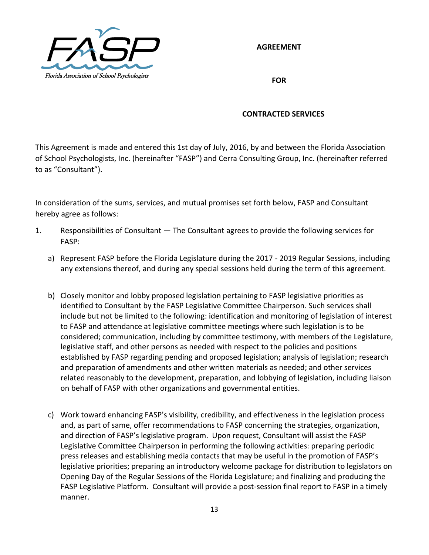

**AGREEMENT**

**FOR**

# **CONTRACTED SERVICES**

This Agreement is made and entered this 1st day of July, 2016, by and between the Florida Association of School Psychologists, Inc. (hereinafter "FASP") and Cerra Consulting Group, Inc. (hereinafter referred to as "Consultant").

In consideration of the sums, services, and mutual promises set forth below, FASP and Consultant hereby agree as follows:

- 1. Responsibilities of Consultant The Consultant agrees to provide the following services for FASP:
	- a) Represent FASP before the Florida Legislature during the 2017 2019 Regular Sessions, including any extensions thereof, and during any special sessions held during the term of this agreement.
	- b) Closely monitor and lobby proposed legislation pertaining to FASP legislative priorities as identified to Consultant by the FASP Legislative Committee Chairperson. Such services shall include but not be limited to the following: identification and monitoring of legislation of interest to FASP and attendance at legislative committee meetings where such legislation is to be considered; communication, including by committee testimony, with members of the Legislature, legislative staff, and other persons as needed with respect to the policies and positions established by FASP regarding pending and proposed legislation; analysis of legislation; research and preparation of amendments and other written materials as needed; and other services related reasonably to the development, preparation, and lobbying of legislation, including liaison on behalf of FASP with other organizations and governmental entities.
	- c) Work toward enhancing FASP's visibility, credibility, and effectiveness in the legislation process and, as part of same, offer recommendations to FASP concerning the strategies, organization, and direction of FASP's legislative program. Upon request, Consultant will assist the FASP Legislative Committee Chairperson in performing the following activities: preparing periodic press releases and establishing media contacts that may be useful in the promotion of FASP's legislative priorities; preparing an introductory welcome package for distribution to legislators on Opening Day of the Regular Sessions of the Florida Legislature; and finalizing and producing the FASP Legislative Platform. Consultant will provide a post-session final report to FASP in a timely manner.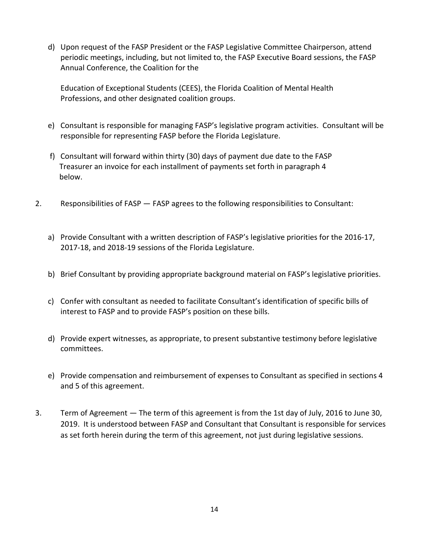d) Upon request of the FASP President or the FASP Legislative Committee Chairperson, attend periodic meetings, including, but not limited to, the FASP Executive Board sessions, the FASP Annual Conference, the Coalition for the

Education of Exceptional Students (CEES), the Florida Coalition of Mental Health Professions, and other designated coalition groups.

- e) Consultant is responsible for managing FASP's legislative program activities. Consultant will be responsible for representing FASP before the Florida Legislature.
- f) Consultant will forward within thirty (30) days of payment due date to the FASP Treasurer an invoice for each installment of payments set forth in paragraph 4 below.
- 2. Responsibilities of FASP FASP agrees to the following responsibilities to Consultant:
	- a) Provide Consultant with a written description of FASP's legislative priorities for the 2016-17, 2017-18, and 2018-19 sessions of the Florida Legislature.
	- b) Brief Consultant by providing appropriate background material on FASP's legislative priorities.
	- c) Confer with consultant as needed to facilitate Consultant's identification of specific bills of interest to FASP and to provide FASP's position on these bills.
	- d) Provide expert witnesses, as appropriate, to present substantive testimony before legislative committees.
	- e) Provide compensation and reimbursement of expenses to Consultant as specified in sections 4 and 5 of this agreement.
- 3. Term of Agreement The term of this agreement is from the 1st day of July, 2016 to June 30, 2019. It is understood between FASP and Consultant that Consultant is responsible for services as set forth herein during the term of this agreement, not just during legislative sessions.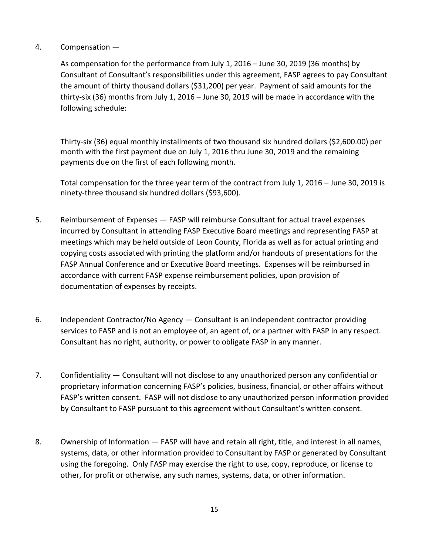### 4. Compensation —

As compensation for the performance from July 1, 2016 – June 30, 2019 (36 months) by Consultant of Consultant's responsibilities under this agreement, FASP agrees to pay Consultant the amount of thirty thousand dollars (\$31,200) per year. Payment of said amounts for the thirty-six (36) months from July 1, 2016 – June 30, 2019 will be made in accordance with the following schedule:

Thirty-six (36) equal monthly installments of two thousand six hundred dollars (\$2,600.00) per month with the first payment due on July 1, 2016 thru June 30, 2019 and the remaining payments due on the first of each following month.

Total compensation for the three year term of the contract from July 1, 2016 – June 30, 2019 is ninety-three thousand six hundred dollars (\$93,600).

- 5. Reimbursement of Expenses FASP will reimburse Consultant for actual travel expenses incurred by Consultant in attending FASP Executive Board meetings and representing FASP at meetings which may be held outside of Leon County, Florida as well as for actual printing and copying costs associated with printing the platform and/or handouts of presentations for the FASP Annual Conference and or Executive Board meetings. Expenses will be reimbursed in accordance with current FASP expense reimbursement policies, upon provision of documentation of expenses by receipts.
- 6. Independent Contractor/No Agency Consultant is an independent contractor providing services to FASP and is not an employee of, an agent of, or a partner with FASP in any respect. Consultant has no right, authority, or power to obligate FASP in any manner.
- 7. Confidentiality Consultant will not disclose to any unauthorized person any confidential or proprietary information concerning FASP's policies, business, financial, or other affairs without FASP's written consent. FASP will not disclose to any unauthorized person information provided by Consultant to FASP pursuant to this agreement without Consultant's written consent.
- 8. Ownership of Information FASP will have and retain all right, title, and interest in all names, systems, data, or other information provided to Consultant by FASP or generated by Consultant using the foregoing. Only FASP may exercise the right to use, copy, reproduce, or license to other, for profit or otherwise, any such names, systems, data, or other information.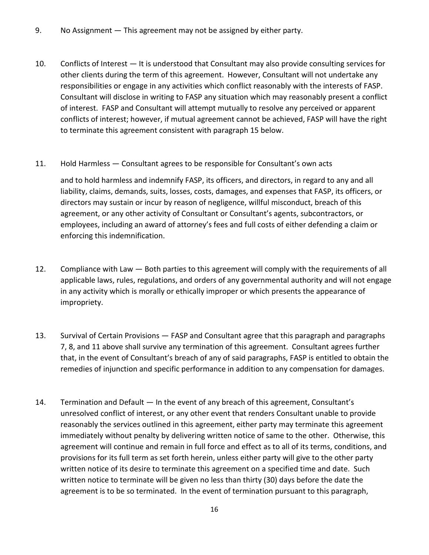- 9. No Assignment This agreement may not be assigned by either party.
- 10. Conflicts of Interest It is understood that Consultant may also provide consulting services for other clients during the term of this agreement. However, Consultant will not undertake any responsibilities or engage in any activities which conflict reasonably with the interests of FASP. Consultant will disclose in writing to FASP any situation which may reasonably present a conflict of interest. FASP and Consultant will attempt mutually to resolve any perceived or apparent conflicts of interest; however, if mutual agreement cannot be achieved, FASP will have the right to terminate this agreement consistent with paragraph 15 below.
- 11. Hold Harmless Consultant agrees to be responsible for Consultant's own acts

and to hold harmless and indemnify FASP, its officers, and directors, in regard to any and all liability, claims, demands, suits, losses, costs, damages, and expenses that FASP, its officers, or directors may sustain or incur by reason of negligence, willful misconduct, breach of this agreement, or any other activity of Consultant or Consultant's agents, subcontractors, or employees, including an award of attorney's fees and full costs of either defending a claim or enforcing this indemnification.

- 12. Compliance with Law Both parties to this agreement will comply with the requirements of all applicable laws, rules, regulations, and orders of any governmental authority and will not engage in any activity which is morally or ethically improper or which presents the appearance of impropriety.
- 13. Survival of Certain Provisions FASP and Consultant agree that this paragraph and paragraphs 7, 8, and 11 above shall survive any termination of this agreement. Consultant agrees further that, in the event of Consultant's breach of any of said paragraphs, FASP is entitled to obtain the remedies of injunction and specific performance in addition to any compensation for damages.
- 14. Termination and Default In the event of any breach of this agreement, Consultant's unresolved conflict of interest, or any other event that renders Consultant unable to provide reasonably the services outlined in this agreement, either party may terminate this agreement immediately without penalty by delivering written notice of same to the other. Otherwise, this agreement will continue and remain in full force and effect as to all of its terms, conditions, and provisions for its full term as set forth herein, unless either party will give to the other party written notice of its desire to terminate this agreement on a specified time and date. Such written notice to terminate will be given no less than thirty (30) days before the date the agreement is to be so terminated. In the event of termination pursuant to this paragraph,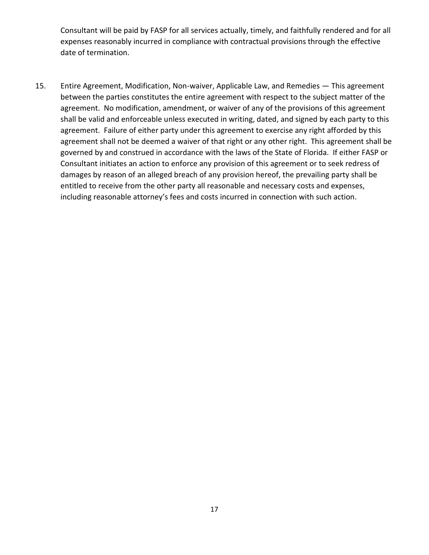Consultant will be paid by FASP for all services actually, timely, and faithfully rendered and for all expenses reasonably incurred in compliance with contractual provisions through the effective date of termination.

15. Entire Agreement, Modification, Non-waiver, Applicable Law, and Remedies — This agreement between the parties constitutes the entire agreement with respect to the subject matter of the agreement. No modification, amendment, or waiver of any of the provisions of this agreement shall be valid and enforceable unless executed in writing, dated, and signed by each party to this agreement. Failure of either party under this agreement to exercise any right afforded by this agreement shall not be deemed a waiver of that right or any other right. This agreement shall be governed by and construed in accordance with the laws of the State of Florida. If either FASP or Consultant initiates an action to enforce any provision of this agreement or to seek redress of damages by reason of an alleged breach of any provision hereof, the prevailing party shall be entitled to receive from the other party all reasonable and necessary costs and expenses, including reasonable attorney's fees and costs incurred in connection with such action.